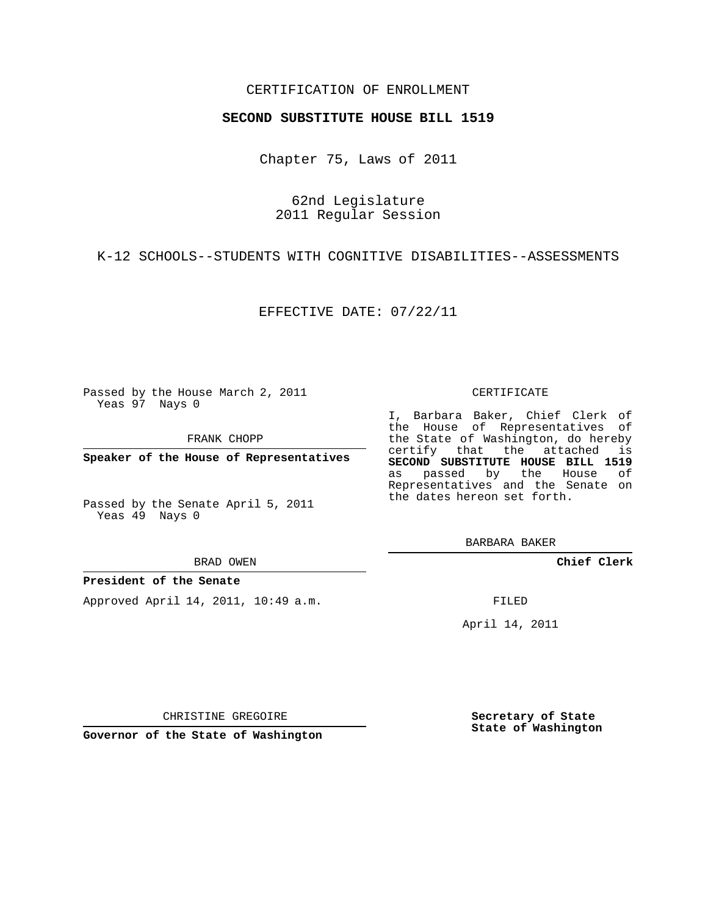### CERTIFICATION OF ENROLLMENT

#### **SECOND SUBSTITUTE HOUSE BILL 1519**

Chapter 75, Laws of 2011

62nd Legislature 2011 Regular Session

K-12 SCHOOLS--STUDENTS WITH COGNITIVE DISABILITIES--ASSESSMENTS

EFFECTIVE DATE: 07/22/11

Passed by the House March 2, 2011 Yeas 97 Nays 0

FRANK CHOPP

**Speaker of the House of Representatives**

Passed by the Senate April 5, 2011 Yeas 49 Nays 0

BRAD OWEN

#### **President of the Senate**

Approved April 14, 2011, 10:49 a.m.

#### CERTIFICATE

I, Barbara Baker, Chief Clerk of the House of Representatives of the State of Washington, do hereby certify that the attached is **SECOND SUBSTITUTE HOUSE BILL 1519** as passed by the House of Representatives and the Senate on the dates hereon set forth.

BARBARA BAKER

**Chief Clerk**

FILED

April 14, 2011

CHRISTINE GREGOIRE

**Governor of the State of Washington**

**Secretary of State State of Washington**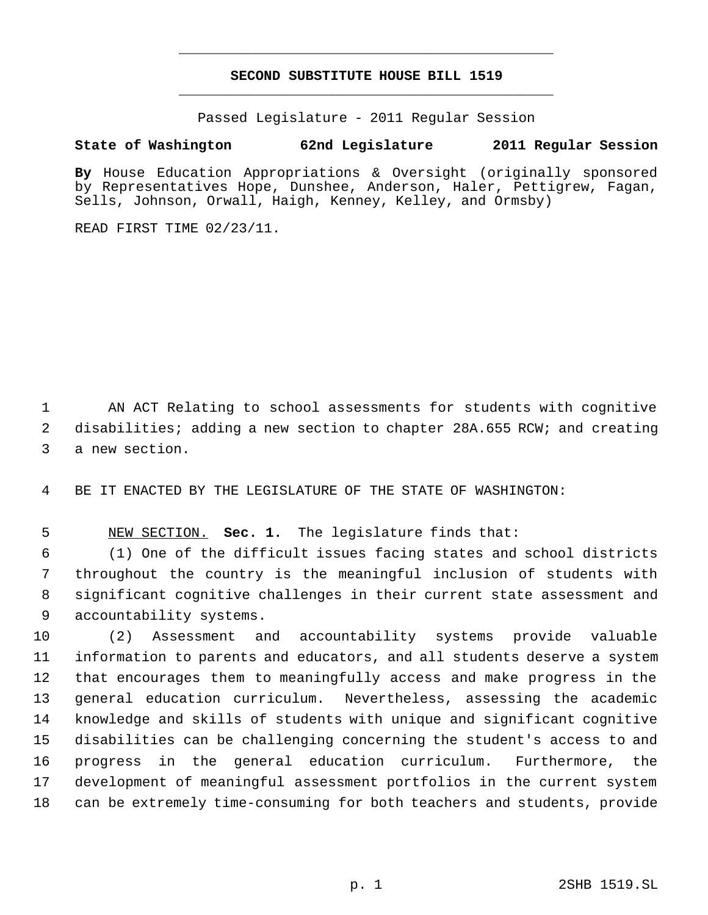# **SECOND SUBSTITUTE HOUSE BILL 1519** \_\_\_\_\_\_\_\_\_\_\_\_\_\_\_\_\_\_\_\_\_\_\_\_\_\_\_\_\_\_\_\_\_\_\_\_\_\_\_\_\_\_\_\_\_

\_\_\_\_\_\_\_\_\_\_\_\_\_\_\_\_\_\_\_\_\_\_\_\_\_\_\_\_\_\_\_\_\_\_\_\_\_\_\_\_\_\_\_\_\_

Passed Legislature - 2011 Regular Session

## **State of Washington 62nd Legislature 2011 Regular Session**

**By** House Education Appropriations & Oversight (originally sponsored by Representatives Hope, Dunshee, Anderson, Haler, Pettigrew, Fagan, Sells, Johnson, Orwall, Haigh, Kenney, Kelley, and Ormsby)

READ FIRST TIME 02/23/11.

 AN ACT Relating to school assessments for students with cognitive 2 disabilities; adding a new section to chapter 28A.655 RCW; and creating a new section.

BE IT ENACTED BY THE LEGISLATURE OF THE STATE OF WASHINGTON:

NEW SECTION. **Sec. 1.** The legislature finds that:

 (1) One of the difficult issues facing states and school districts throughout the country is the meaningful inclusion of students with significant cognitive challenges in their current state assessment and accountability systems.

 (2) Assessment and accountability systems provide valuable information to parents and educators, and all students deserve a system that encourages them to meaningfully access and make progress in the general education curriculum. Nevertheless, assessing the academic knowledge and skills of students with unique and significant cognitive disabilities can be challenging concerning the student's access to and progress in the general education curriculum. Furthermore, the development of meaningful assessment portfolios in the current system can be extremely time-consuming for both teachers and students, provide